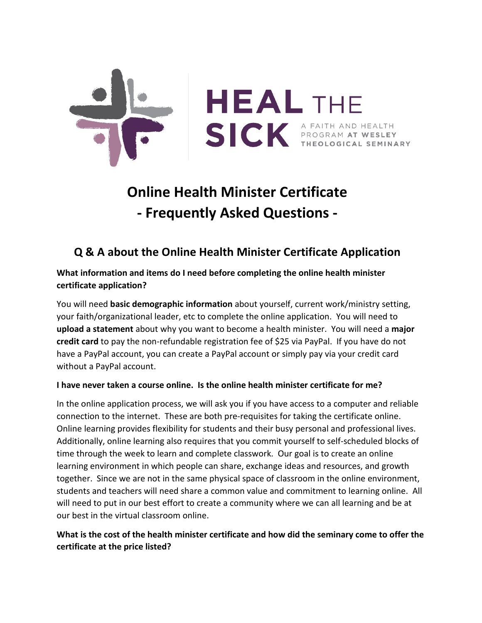

# **Online Health Minister Certificate - Frequently Asked Questions -**

# **Q & A about the Online Health Minister Certificate Application**

# **What information and items do I need before completing the online health minister certificate application?**

You will need **basic demographic information** about yourself, current work/ministry setting, your faith/organizational leader, etc to complete the online application. You will need to **upload a statement** about why you want to become a health minister. You will need a **major credit card** to pay the non-refundable registration fee of \$25 via PayPal. If you have do not have a PayPal account, you can create a PayPal account or simply pay via your credit card without a PayPal account.

# **I have never taken a course online. Is the online health minister certificate for me?**

In the online application process, we will ask you if you have access to a computer and reliable connection to the internet. These are both pre-requisites for taking the certificate online. Online learning provides flexibility for students and their busy personal and professional lives. Additionally, online learning also requires that you commit yourself to self-scheduled blocks of time through the week to learn and complete classwork. Our goal is to create an online learning environment in which people can share, exchange ideas and resources, and growth together. Since we are not in the same physical space of classroom in the online environment, students and teachers will need share a common value and commitment to learning online. All will need to put in our best effort to create a community where we can all learning and be at our best in the virtual classroom online.

# **What is the cost of the health minister certificate and how did the seminary come to offer the certificate at the price listed?**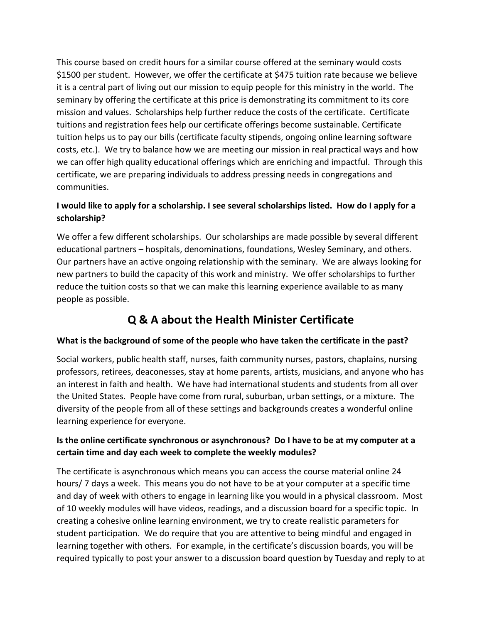This course based on credit hours for a similar course offered at the seminary would costs \$1500 per student. However, we offer the certificate at \$475 tuition rate because we believe it is a central part of living out our mission to equip people for this ministry in the world. The seminary by offering the certificate at this price is demonstrating its commitment to its core mission and values. Scholarships help further reduce the costs of the certificate. Certificate tuitions and registration fees help our certificate offerings become sustainable. Certificate tuition helps us to pay our bills (certificate faculty stipends, ongoing online learning software costs, etc.). We try to balance how we are meeting our mission in real practical ways and how we can offer high quality educational offerings which are enriching and impactful. Through this certificate, we are preparing individuals to address pressing needs in congregations and communities.

# **I would like to apply for a scholarship. I see several scholarships listed. How do I apply for a scholarship?**

We offer a few different scholarships. Our scholarships are made possible by several different educational partners – hospitals, denominations, foundations, Wesley Seminary, and others. Our partners have an active ongoing relationship with the seminary. We are always looking for new partners to build the capacity of this work and ministry. We offer scholarships to further reduce the tuition costs so that we can make this learning experience available to as many people as possible.

# **Q & A about the Health Minister Certificate**

#### **What is the background of some of the people who have taken the certificate in the past?**

Social workers, public health staff, nurses, faith community nurses, pastors, chaplains, nursing professors, retirees, deaconesses, stay at home parents, artists, musicians, and anyone who has an interest in faith and health. We have had international students and students from all over the United States. People have come from rural, suburban, urban settings, or a mixture. The diversity of the people from all of these settings and backgrounds creates a wonderful online learning experience for everyone.

# **Is the online certificate synchronous or asynchronous? Do I have to be at my computer at a certain time and day each week to complete the weekly modules?**

The certificate is asynchronous which means you can access the course material online 24 hours/ 7 days a week. This means you do not have to be at your computer at a specific time and day of week with others to engage in learning like you would in a physical classroom. Most of 10 weekly modules will have videos, readings, and a discussion board for a specific topic. In creating a cohesive online learning environment, we try to create realistic parameters for student participation. We do require that you are attentive to being mindful and engaged in learning together with others. For example, in the certificate's discussion boards, you will be required typically to post your answer to a discussion board question by Tuesday and reply to at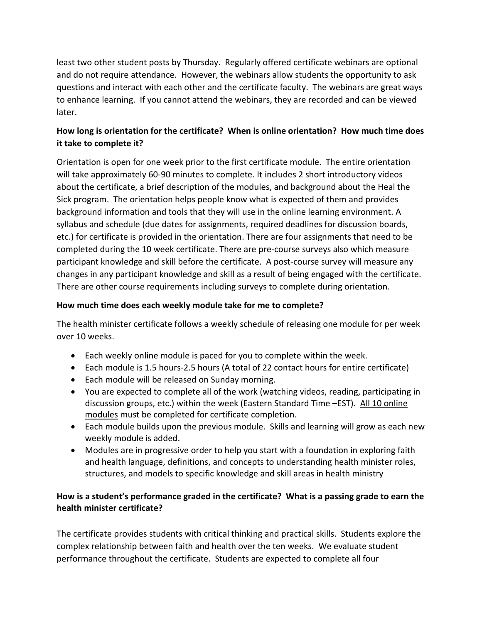least two other student posts by Thursday. Regularly offered certificate webinars are optional and do not require attendance. However, the webinars allow students the opportunity to ask questions and interact with each other and the certificate faculty. The webinars are great ways to enhance learning. If you cannot attend the webinars, they are recorded and can be viewed later.

# **How long is orientation for the certificate? When is online orientation? How much time does it take to complete it?**

Orientation is open for one week prior to the first certificate module. The entire orientation will take approximately 60-90 minutes to complete. It includes 2 short introductory videos about the certificate, a brief description of the modules, and background about the Heal the Sick program. The orientation helps people know what is expected of them and provides background information and tools that they will use in the online learning environment. A syllabus and schedule (due dates for assignments, required deadlines for discussion boards, etc.) for certificate is provided in the orientation. There are four assignments that need to be completed during the 10 week certificate. There are pre-course surveys also which measure participant knowledge and skill before the certificate. A post-course survey will measure any changes in any participant knowledge and skill as a result of being engaged with the certificate. There are other course requirements including surveys to complete during orientation.

#### **How much time does each weekly module take for me to complete?**

The health minister certificate follows a weekly schedule of releasing one module for per week over 10 weeks.

- Each weekly online module is paced for you to complete within the week.
- Each module is 1.5 hours-2.5 hours (A total of 22 contact hours for entire certificate)
- Each module will be released on Sunday morning.
- You are expected to complete all of the work (watching videos, reading, participating in discussion groups, etc.) within the week (Eastern Standard Time –EST). All 10 online modules must be completed for certificate completion.
- Each module builds upon the previous module. Skills and learning will grow as each new weekly module is added.
- Modules are in progressive order to help you start with a foundation in exploring faith and health language, definitions, and concepts to understanding health minister roles, structures, and models to specific knowledge and skill areas in health ministry

#### **How is a student's performance graded in the certificate? What is a passing grade to earn the health minister certificate?**

The certificate provides students with critical thinking and practical skills. Students explore the complex relationship between faith and health over the ten weeks. We evaluate student performance throughout the certificate. Students are expected to complete all four